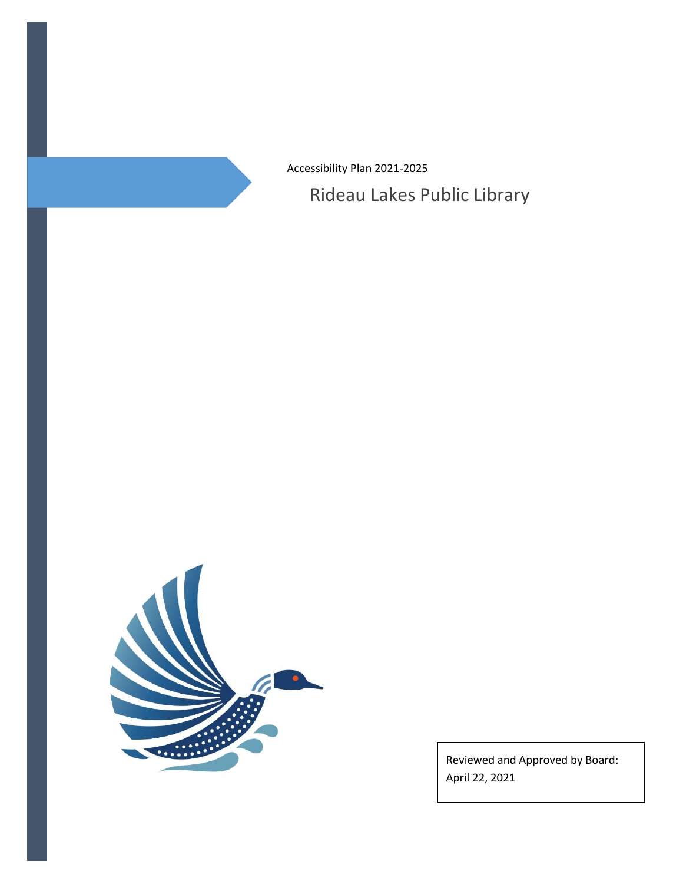Accessibility Plan 2021-2025

Rideau Lakes Public Library



Reviewed and Approved by Board: April 22, 2021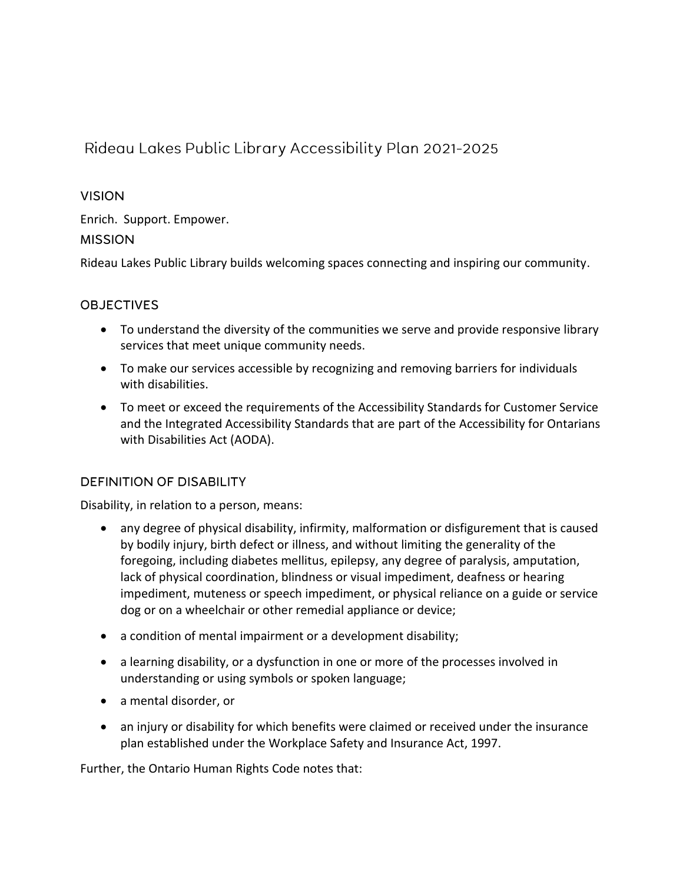# Rideau Lakes Public Library Accessibility Plan 2021-2025

#### **VISION**

Enrich. Support. Empower.

## **MISSION**

Rideau Lakes Public Library builds welcoming spaces connecting and inspiring our community.

# **OBJECTIVES**

- To understand the diversity of the communities we serve and provide responsive library services that meet unique community needs.
- To make our services accessible by recognizing and removing barriers for individuals with disabilities.
- To meet or exceed the requirements of the Accessibility Standards for Customer Service and the Integrated Accessibility Standards that are part of the Accessibility for Ontarians with Disabilities Act (AODA).

#### **DEFINITION OF DISABILITY**

Disability, in relation to a person, means:

- any degree of physical disability, infirmity, malformation or disfigurement that is caused by bodily injury, birth defect or illness, and without limiting the generality of the foregoing, including diabetes mellitus, epilepsy, any degree of paralysis, amputation, lack of physical coordination, blindness or visual impediment, deafness or hearing impediment, muteness or speech impediment, or physical reliance on a guide or service dog or on a wheelchair or other remedial appliance or device;
- a condition of mental impairment or a development disability;
- a learning disability, or a dysfunction in one or more of the processes involved in understanding or using symbols or spoken language;
- a mental disorder, or
- an injury or disability for which benefits were claimed or received under the insurance plan established under the Workplace Safety and Insurance Act, 1997.

Further, the Ontario Human Rights Code notes that: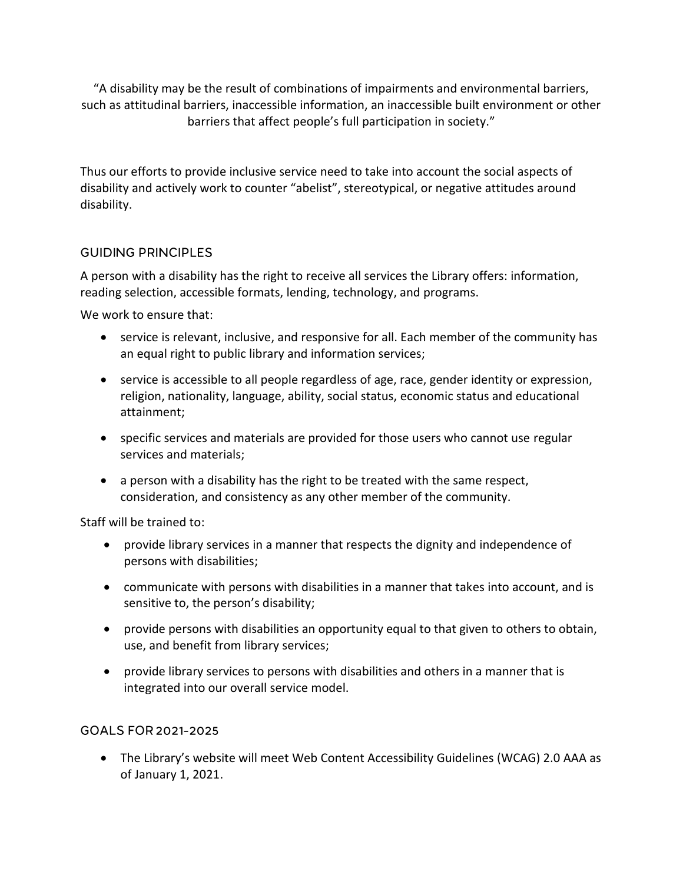"A disability may be the result of combinations of impairments and environmental barriers, such as attitudinal barriers, inaccessible information, an inaccessible built environment or other barriers that affect people's full participation in society."

Thus our efforts to provide inclusive service need to take into account the social aspects of disability and actively work to counter "abelist", stereotypical, or negative attitudes around disability.

## **GUIDING PRINCIPLES**

A person with a disability has the right to receive all services the Library offers: information, reading selection, accessible formats, lending, technology, and programs.

We work to ensure that:

- service is relevant, inclusive, and responsive for all. Each member of the community has an equal right to public library and information services;
- service is accessible to all people regardless of age, race, gender identity or expression, religion, nationality, language, ability, social status, economic status and educational attainment;
- specific services and materials are provided for those users who cannot use regular services and materials;
- a person with a disability has the right to be treated with the same respect, consideration, and consistency as any other member of the community.

Staff will be trained to:

- provide library services in a manner that respects the dignity and independence of persons with disabilities;
- communicate with persons with disabilities in a manner that takes into account, and is sensitive to, the person's disability;
- provide persons with disabilities an opportunity equal to that given to others to obtain, use, and benefit from library services;
- provide library services to persons with disabilities and others in a manner that is integrated into our overall service model.

# GOALS FOR 2021-2025

 The Library's website will meet Web Content Accessibility Guidelines (WCAG) 2.0 AAA as of January 1, 2021.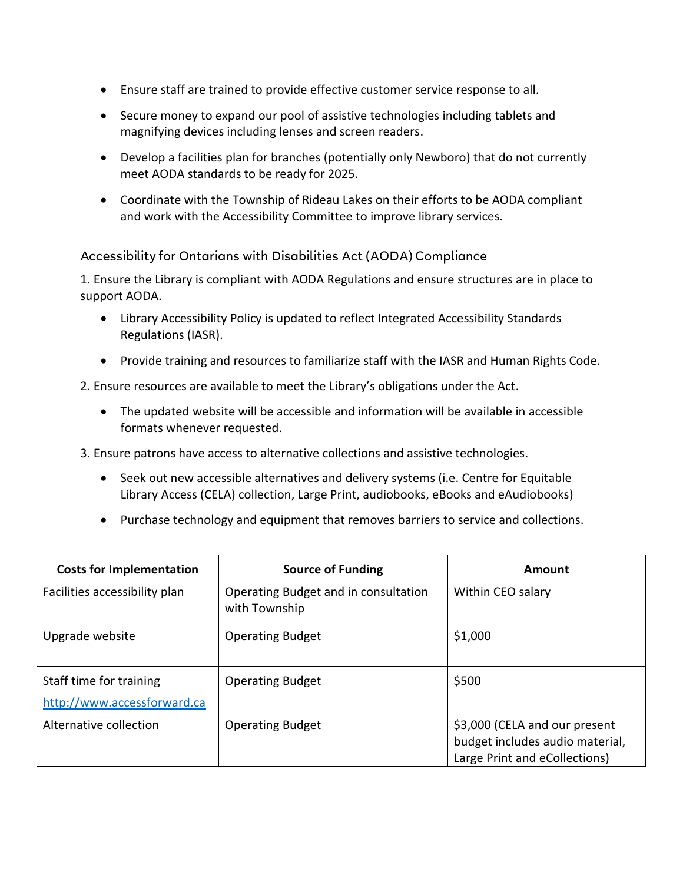- Ensure staff are trained to provide effective customer service response to all.
- Secure money to expand our pool of assistive technologies including tablets and magnifying devices including lenses and screen readers.
- Develop a facilities plan for branches (potentially only Newboro) that do not currently meet AODA standards to be ready for 2025.
- Coordinate with the Township of Rideau Lakes on their efforts to be AODA compliant and work with the Accessibility Committee to improve library services.

Accessibility for Ontarians with Disabilities Act (AODA) Compliance

1. Ensure the Library is compliant with AODA Regulations and ensure structures are in place to support AODA.

- Library Accessibility Policy is updated to reflect Integrated Accessibility Standards Regulations (IASR).
- Provide training and resources to familiarize staff with the IASR and Human Rights Code.

2. Ensure resources are available to meet the Library's obligations under the Act.

- The updated website will be accessible and information will be available in accessible formats whenever requested.
- 3. Ensure patrons have access to alternative collections and assistive technologies.
	- Seek out new accessible alternatives and delivery systems (i.e. Centre for Equitable Library Access (CELA) collection, Large Print, audiobooks, eBooks and eAudiobooks)
	- Purchase technology and equipment that removes barriers to service and collections.

| <b>Costs for Implementation</b>                        | <b>Source of Funding</b>                              | Amount                                                                                            |
|--------------------------------------------------------|-------------------------------------------------------|---------------------------------------------------------------------------------------------------|
| Facilities accessibility plan                          | Operating Budget and in consultation<br>with Township | Within CEO salary                                                                                 |
| Upgrade website                                        | <b>Operating Budget</b>                               | \$1,000                                                                                           |
| Staff time for training<br>http://www.accessforward.ca | <b>Operating Budget</b>                               | \$500                                                                                             |
| Alternative collection                                 | <b>Operating Budget</b>                               | \$3,000 (CELA and our present<br>budget includes audio material,<br>Large Print and eCollections) |